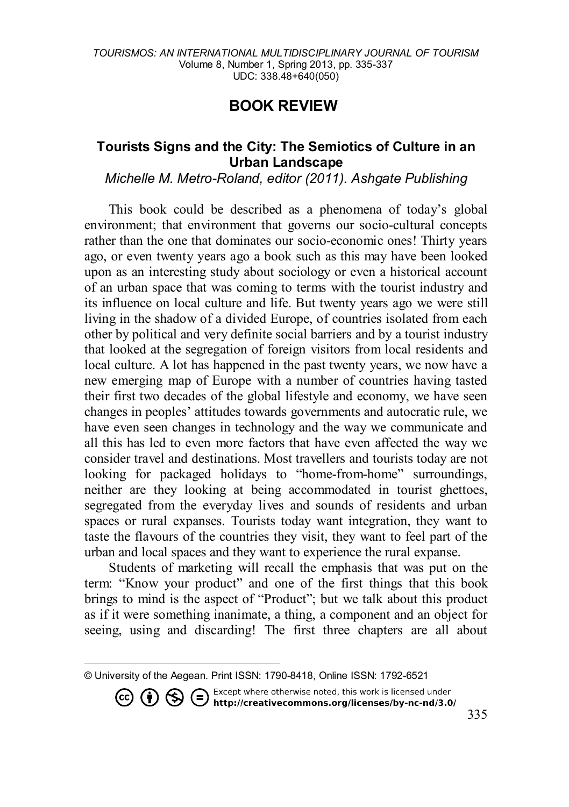## **BOOK REVIE[W1](#page-0-0)**

## **Tourists Signs and the City: The Semiotics of Culture in an Urban Landscape**

*Michelle M. Metro-Roland, editor (2011). Ashgate Publishing* 

This book could be described as a phenomena of today's global environment; that environment that governs our socio-cultural concepts rather than the one that dominates our socio-economic ones! Thirty years ago, or even twenty years ago a book such as this may have been looked upon as an interesting study about sociology or even a historical account of an urban space that was coming to terms with the tourist industry and its influence on local culture and life. But twenty years ago we were still living in the shadow of a divided Europe, of countries isolated from each other by political and very definite social barriers and by a tourist industry that looked at the segregation of foreign visitors from local residents and local culture. A lot has happened in the past twenty years, we now have a new emerging map of Europe with a number of countries having tasted their first two decades of the global lifestyle and economy, we have seen changes in peoples' attitudes towards governments and autocratic rule, we have even seen changes in technology and the way we communicate and all this has led to even more factors that have even affected the way we consider travel and destinations. Most travellers and tourists today are not looking for packaged holidays to "home-from-home" surroundings, neither are they looking at being accommodated in tourist ghettoes, segregated from the everyday lives and sounds of residents and urban spaces or rural expanses. Tourists today want integration, they want to taste the flavours of the countries they visit, they want to feel part of the urban and local spaces and they want to experience the rural expanse.

Students of marketing will recall the emphasis that was put on the term: "Know your product" and one of the first things that this book brings to mind is the aspect of "Product"; but we talk about this product as if it were something inanimate, a thing, a component and an object for seeing, using and discarding! The first three chapters are all about

<span id="page-0-0"></span> $\overline{\phantom{a}}$ © University of the Aegean. Print ISSN: 1790-8418, Online ISSN: 1792-6521

**CO (i)**  $\bigodot$  **C**  $\bigodot$  Except where otherwise noted, this work is licensed under **http://creativecommons.org/licenses/by-nc-nd/3.0/**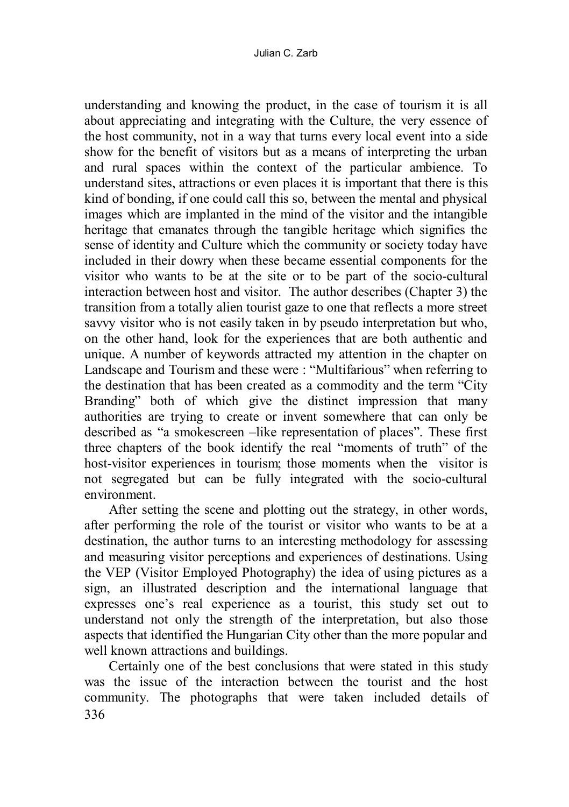understanding and knowing the product, in the case of tourism it is all about appreciating and integrating with the Culture, the very essence of the host community, not in a way that turns every local event into a side show for the benefit of visitors but as a means of interpreting the urban and rural spaces within the context of the particular ambience. To understand sites, attractions or even places it is important that there is this kind of bonding, if one could call this so, between the mental and physical images which are implanted in the mind of the visitor and the intangible heritage that emanates through the tangible heritage which signifies the sense of identity and Culture which the community or society today have included in their dowry when these became essential components for the visitor who wants to be at the site or to be part of the socio-cultural interaction between host and visitor. The author describes (Chapter 3) the transition from a totally alien tourist gaze to one that reflects a more street savvy visitor who is not easily taken in by pseudo interpretation but who, on the other hand, look for the experiences that are both authentic and unique. A number of keywords attracted my attention in the chapter on Landscape and Tourism and these were : "Multifarious" when referring to the destination that has been created as a commodity and the term "City Branding" both of which give the distinct impression that many authorities are trying to create or invent somewhere that can only be described as "a smokescreen –like representation of places". These first three chapters of the book identify the real "moments of truth" of the host-visitor experiences in tourism; those moments when the visitor is not segregated but can be fully integrated with the socio-cultural environment.

After setting the scene and plotting out the strategy, in other words, after performing the role of the tourist or visitor who wants to be at a destination, the author turns to an interesting methodology for assessing and measuring visitor perceptions and experiences of destinations. Using the VEP (Visitor Employed Photography) the idea of using pictures as a sign, an illustrated description and the international language that expresses one's real experience as a tourist, this study set out to understand not only the strength of the interpretation, but also those aspects that identified the Hungarian City other than the more popular and well known attractions and buildings.

336 Certainly one of the best conclusions that were stated in this study was the issue of the interaction between the tourist and the host community. The photographs that were taken included details of